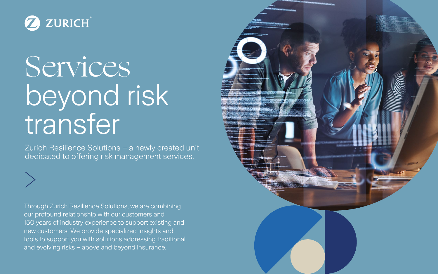Zurich Resilience Solutions – a newly created unit dedicated to offering risk management services.

Through Zurich Resilience Solutions, we are combining our profound relationship with our customers and 150 years of industry experience to support existing and new customers. We provide specialized insights and tools to support you with solutions addressing traditional and evolving risks – above and beyond insurance.





## Services beyond risk transfer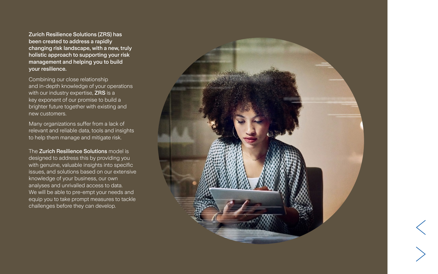Zurich Resilience Solutions (ZRS) has been created to address a rapidly changing risk landscape, with a new, truly holistic approach to supporting your risk management and helping you to build your resilience.

Combining our close relationship and in-depth knowledge of your operations with our industry expertise, ZRS is a key exponent of our promise to build a brighter future together with existing and new customers.

The Zurich Resilience Solutions model is designed to address this by providing you with genuine, valuable insights into specific issues, and solutions based on our extensive knowledge of your business, our own analyses and unrivalled access to data. We will be able to pre-empt your needs and equip you to take prompt measures to tackle challenges before they can develop.







Many organizations suffer from a lack of relevant and reliable data, tools and insights to help them manage and mitigate risk.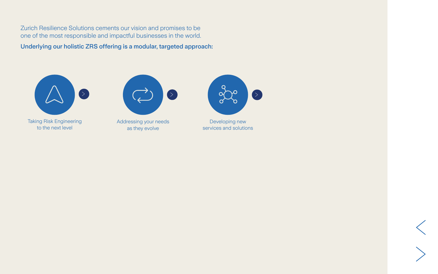Underlying our holistic ZRS offering is a modular, targeted approach:



[Taking Risk Engineering](#page-3-0) to the next level



[Addressing your needs](#page-4-0) as they evolve



Developing new [services and solutions](#page-5-0)



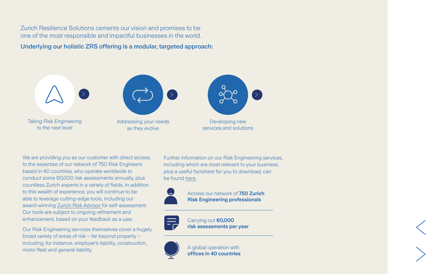<span id="page-3-0"></span>Underlying our holistic ZRS offering is a modular, targeted approach:

We are providing you as our customer with direct access to the expertise of our network of 750 Risk Engineers based in 40 countries, who operate worldwide to conduct some 60,000 risk assessments annually, plus countless Zurich experts in a variety of fields. In addition to this wealth of experience, you will continue to be able to leverage cutting-edge tools, including our award-winning [Zurich Risk Advisor](https://www.zurich.com/en/products-and-services/tools-for-business/zurich-risk-advisor) for self-assessment. Our tools are subject to ongoing refinement and enhancement, based on your feedback as a user.

Our Risk Engineering services themselves cover a hugely broad variety of areas of risk – far beyond property – including, for instance, employer's liability, construction, motor fleet and general liability.

Further information on our Risk Engineering services, including which are most relevant to your business, plus a useful factsheet for you to download, can be found [here.](https://www.zurich.com/en/products-and-services/protect-your-business/risk-engineering)





Carrying out **60,000 risk assessments per year**



A global operation with **offices in 40 countries**





Access our network of **750 Zurich Risk Engineering professionals**

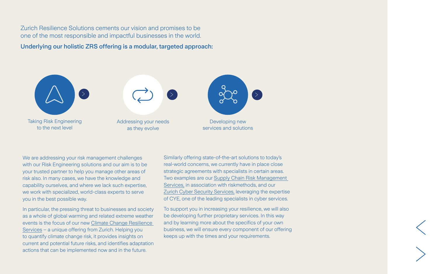<span id="page-4-0"></span>Underlying our holistic ZRS offering is a modular, targeted approach:

We are addressing your risk management challenges with our Risk Engineering solutions and our aim is to be your trusted partner to help you manage other areas of risk also. In many cases, we have the knowledge and capability ourselves, and where we lack such expertise, we work with specialized, world-class experts to serve you in the best possible way.

In particular, the pressing threat to businesses and society as a whole of global warming and related extreme weather events is the focus of our new [Climate Change Resilience](https://www.zurich.com/en/products-and-services/protect-your-business/risk-engineering/climate-change-resilience-services)  [Services](https://www.zurich.com/en/products-and-services/protect-your-business/risk-engineering/climate-change-resilience-services) – a unique offering from Zurich. Helping you to quantify climate change risk, it provides insights on current and potential future risks, and identifies adaptation actions that can be implemented now and in the future.

Similarly offering state-of-the-art solutions to today's real-world concerns, we currently have in place close strategic agreements with specialists in certain areas. Two examples are our [Supply Chain Risk Management](https://www.zurich.com/en/products-and-services/protect-your-business/what-we-protect/property/supply-chain)  [Services,](https://www.zurich.com/en/products-and-services/protect-your-business/what-we-protect/property/supply-chain) in association with riskmethods, and our [Zurich Cyber Security Services,](https://www.zurich.com/en/products-and-services/protect-your-business/what-we-protect/zurich-cyber-security-services) leveraging the expertise of CYE, one of the leading specialists in cyber services.

To support you in increasing your resilience, we will also be developing further proprietary services. In this way and by learning more about the specifics of your own business, we will ensure every component of our offering keeps up with the times and your requirements.





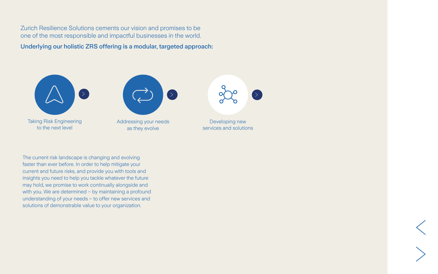<span id="page-5-0"></span>Underlying our holistic ZRS offering is a modular, targeted approach:

The current risk landscape is changing and evolving faster than ever before. In order to help mitigate your current and future risks, and provide you with tools and insights you need to help you tackle whatever the future may hold, we promise to work continually alongside and with you. We are determined – by maintaining a profound understanding of your needs – to offer new services and solutions of demonstrable value to your organization.





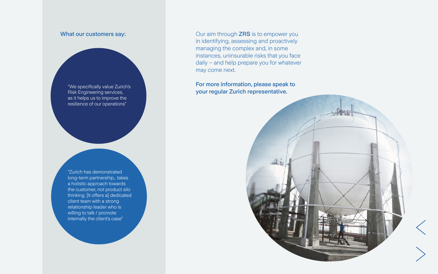Our aim through ZRS is to empower you in identifying, assessing and proactively managing the complex and, in some instances, uninsurable risks that you face daily – and help prepare you for whatever may come next.

"Zurich has demonstrated long-term partnership… takes a holistic approach towards the customer, not product silo thinking. [It offers a] dedicated client team with a strong relationship leader who is willing to talk / promote internally the client's case"

## For more information, please speak to your regular Zurich representative.



## What our customers say:

"We specifically value Zurich's Risk Engineering services, as it helps us to improve the resilience of our operations"